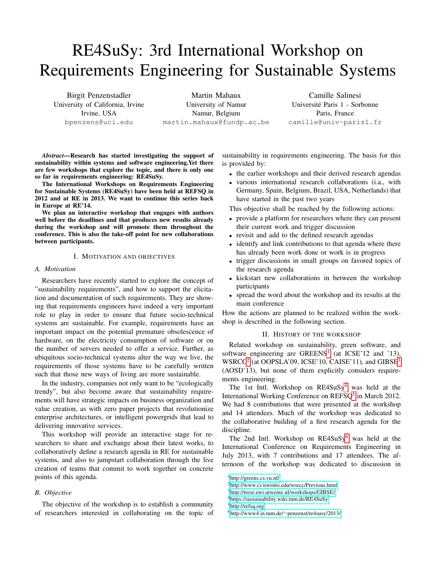# RE4SuSy: 3rd International Workshop on Requirements Engineering for Sustainable Systems

Birgit Penzenstadler University of California, Irvine Irvine, USA bpenzens@uci.edu

Martin Mahaux University of Namur Namur, Belgium martin.mahaux@fundp.ac.be

Camille Salinesi Universite Paris 1 - Sorbonne ´ Paris, France camille@univ-paris1.fr

*Abstract*—Research has started investigating the support of sustainability within systems and software engineering.Yet there are few workshops that explore the topic, and there is only one so far in requirements engineering: RE4SuSy.

The International Workshops on Requirements Engineering for Sustainable Systems (RE4SuSy) have been held at REFSQ in 2012 and at RE in 2013. We want to continue this series back in Europe at RE'14.

We plan an interactive workshop that engages with authors well before the deadlines and that produces new results already during the workshop and will promote them throughout the conference. This is also the take-off point for new collaborations between participants.

# I. MOTIVATION AND OBJECTIVES

## *A. Motivation*

Researchers have recently started to explore the concept of "sustainability requirements", and how to support the elicitation and documentation of such requirements. They are showing that requirements engineers have indeed a very important role to play in order to ensure that future socio-technical systems are sustainable. For example, requirements have an important impact on the potential premature obsolescence of hardware, on the electricity consumption of software or on the number of servers needed to offer a service. Further, as ubiquitous socio-technical systems alter the way we live, the requirements of those systems have to be carefully written such that those new ways of living are more sustainable.

In the industry, companies not only want to be "ecologically trendy", but also become aware that sustainability requirements will have strategic impacts on business organization and value creation, as with zero paper projects that revolutionize enterprise architectures, or intelligent powergrids that lead to delivering innovative services.

This workshop will provide an interactive stage for researchers to share and exchange about their latest works, to collaboratively define a research agenda in RE for sustainable systems, and also to jumpstart collaboration through the live creation of teams that commit to work together on concrete points of this agenda.

## *B. Objective*

The objective of the workshop is to establish a community of researchers interested in collaborating on the topic of sustainability in requirements engineering. The basis for this is provided by:

- the earlier workshops and their derived research agendas
- various international research collaborations (i.a., with Germany, Spain, Belgium, Brazil, USA, Netherlands) that have started in the past two years

This objective shall be reached by the following actions:

- provide a platform for researchers where they can present their current work and trigger discussion
- revisit and add to the defined research agendas
- identify and link contributions to that agenda where there has already been work done or work is in progress
- trigger discussions in small groups on favored topics of the research agenda
- kickstart new collaborations in between the workshop participants
- spread the word about the workshop and its results at the main conference

How the actions are planned to be realized within the workshop is described in the following section.

#### II. HISTORY OF THE WORKSHOP

Related workshop on sustainability, green software, and software engineering are  $GREENS<sup>1</sup>$  $GREENS<sup>1</sup>$  $GREENS<sup>1</sup>$  (at  $ICSE<sup>12</sup>$  and  $'13$ ), WSRCC<sup>[2](#page-0-1)</sup> (at OOPSLA'09, ICSE'10, CAISE'11), and GIBSE<sup>[3](#page-0-2)</sup> (AOSD'13), but none of them explicitly considers requirements engineering.

The 1st Intl. Workshop on  $RE4SuSy<sup>4</sup>$  $RE4SuSy<sup>4</sup>$  $RE4SuSy<sup>4</sup>$  was held at the International Working Conference on REFSQ<sup>[5](#page-0-4)</sup> in March 2012. We had 8 contributions that were presented at the workshop and 14 attendees. Much of the workshop was dedicated to the collaborative building of a first research agenda for the discipline.

The 2nd Intl. Workshop on RE4SuSy<sup>[6](#page-0-5)</sup> was held at the International Conference on Requirements Engineering in July 2013, with 7 contributions and 17 attendees. The afternoon of the workshop was dedicated to discussion in

<span id="page-0-0"></span><sup>1</sup><http://greens.cs.vu.nl/>

<span id="page-0-1"></span><sup>2</sup><http://www.cs.toronto.edu/wsrcc/Previous.html>

<span id="page-0-2"></span><sup>3</sup><http://trese.ewi.utwente.nl/workshops/GIBSE/>

<span id="page-0-3"></span><sup>4</sup><https://sustainability.wiki.tum.de/RE4SuSy>

<span id="page-0-4"></span><sup>5</sup><http://refsq.org>

<span id="page-0-5"></span><sup>6</sup>http://www4.in.tum.de/∼[penzenst/re4susy/2013/](http://www4.in.tum.de/~penzenst/re4susy/2013/)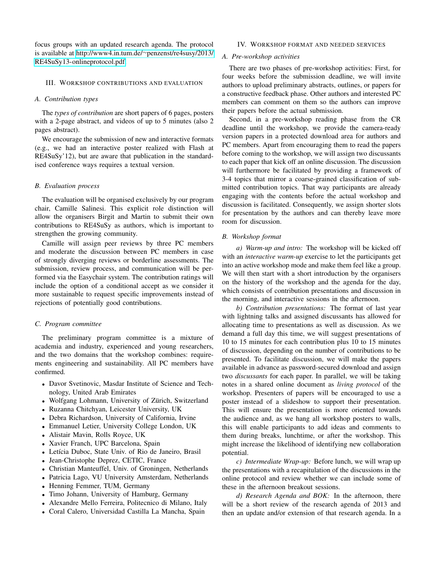focus groups with an updated research agenda. The protocol is available at [http://www4.in.tum.de/](http://www4.in.tum.de/~penzenst/re4susy/2013/RE4SuSy13-onlineprotocol.pdf)∼penzenst/re4susy/2013/ [RE4SuSy13-onlineprotocol.pdf.](http://www4.in.tum.de/~penzenst/re4susy/2013/RE4SuSy13-onlineprotocol.pdf)

## III. WORKSHOP CONTRIBUTIONS AND EVALUATION

#### *A. Contribution types*

The *types of contribution* are short papers of 6 pages, posters with a 2-page abstract, and videos of up to 5 minutes (also 2 pages abstract).

We encourage the submission of new and interactive formats (e.g., we had an interactive poster realized with Flash at RE4SuSy'12), but are aware that publication in the standardised conference ways requires a textual version.

#### *B. Evaluation process*

The evaluation will be organised exclusively by our program chair, Camille Salinesi. This explicit role distinction will allow the organisers Birgit and Martin to submit their own contributions to RE4SuSy as authors, which is important to strengthen the growing community.

Camille will assign peer reviews by three PC members and moderate the discussion between PC members in case of strongly diverging reviews or borderline assessments. The submission, review process, and communication will be performed via the Easychair system. The contribution ratings will include the option of a conditional accept as we consider it more sustainable to request specific improvements instead of rejections of potentially good contributions.

### *C. Program committee*

The preliminary program committee is a mixture of academia and industry, experienced and young researchers, and the two domains that the workshop combines: requirements engineering and sustainability. All PC members have confirmed.

- Davor Svetinovic, Masdar Institute of Science and Technology, United Arab Emirates
- Wolfgang Lohmann, University of Zürich, Switzerland
- Ruzanna Chitchyan, Leicester University, UK
- Debra Richardson, University of California, Irvine
- Emmanuel Letier, University College London, UK
- Alistair Mavin, Rolls Royce, UK
- Xavier Franch, UPC Barcelona, Spain
- Letícia Duboc, State Univ. of Rio de Janeiro, Brasil
- Jean-Christophe Deprez, CETIC, France
- Christian Manteuffel, Univ. of Groningen, Netherlands
- Patricia Lago, VU University Amsterdam, Netherlands
- Henning Femmer, TUM, Germany
- Timo Johann, University of Hamburg, Germany
- Alexandre Mello Ferreira, Politecnico di Milano, Italy
- Coral Calero, Universidad Castilla La Mancha, Spain

#### IV. WORKSHOP FORMAT AND NEEDED SERVICES

## *A. Pre-workshop activities*

There are two phases of pre-workshop activities: First, for four weeks before the submission deadline, we will invite authors to upload preliminary abstracts, outlines, or papers for a constructive feedback phase. Other authors and interested PC members can comment on them so the authors can improve their papers before the actual submission.

Second, in a pre-workshop reading phase from the CR deadline until the workshop, we provide the camera-ready version papers in a protected download area for authors and PC members. Apart from encouraging them to read the papers before coming to the workshop, we will assign two discussants to each paper that kick off an online discussion. The discussion will furthermore be facilitated by providing a framework of 3-4 topics that mirror a coarse-grained classification of submitted contribution topics. That way participants are already engaging with the contents before the actual workshop and discussion is facilitated. Consequently, we assign shorter slots for presentation by the authors and can thereby leave more room for discussion.

#### *B. Workshop format*

*a) Warm-up and intro:* The workshop will be kicked off with an *interactive warm-up* exercise to let the participants get into an active workshop mode and make them feel like a group. We will then start with a short introduction by the organisers on the history of the workshop and the agenda for the day, which consists of contribution presentations and discussion in the morning, and interactive sessions in the afternoon.

*b) Contribution presentations:* The format of last year with lightning talks and assigned discussants has allowed for allocating time to presentations as well as discussion. As we demand a full day this time, we will suggest presentations of 10 to 15 minutes for each contribution plus 10 to 15 minutes of discussion, depending on the number of contributions to be presented. To facilitate discussion, we will make the papers available in advance as password-secured download and assign two *discussants* for each paper. In parallel, we will be taking notes in a shared online document as *living protocol* of the workshop. Presenters of papers will be encouraged to use a poster instead of a slideshow to support their presentation. This will ensure the presentation is more oriented towards the audience and, as we hang all workshop posters to walls, this will enable participants to add ideas and comments to them during breaks, lunchtime, or after the workshop. This might increase the likelihood of identifying new collaboration potential.

*c) Intermediate Wrap-up:* Before lunch, we will wrap up the presentations with a recapitulation of the discussions in the online protocol and review whether we can include some of these in the afternoon breakout sessions.

*d) Research Agenda and BOK:* In the afternoon, there will be a short review of the research agenda of 2013 and then an update and/or extension of that research agenda. In a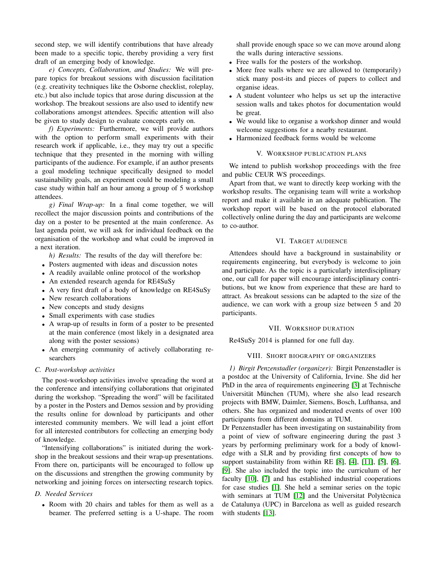second step, we will identify contributions that have already been made to a specific topic, thereby providing a very first draft of an emerging body of knowledge.

*e) Concepts, Collaboration, and Studies:* We will prepare topics for breakout sessions with discussion facilitation (e.g. creativity techniques like the Osborne checklist, roleplay, etc.) but also include topics that arose during discussion at the workshop. The breakout sessions are also used to identify new collaborations amongst attendees. Specific attention will also be given to study design to evaluate concepts early on.

*f) Experiments:* Furthermore, we will provide authors with the option to perform small experiments with their research work if applicable, i.e., they may try out a specific technique that they presented in the morning with willing participants of the audience. For example, if an author presents a goal modeling technique specifically designed to model sustainability goals, an experiment could be modeling a small case study within half an hour among a group of 5 workshop attendees.

*g) Final Wrap-up:* In a final come together, we will recollect the major discussion points and contributions of the day on a poster to be presented at the main conference. As last agenda point, we will ask for individual feedback on the organisation of the workshop and what could be improved in a next iteration.

*h) Results:* The results of the day will therefore be:

- Posters augmented with ideas and discussion notes
- A readily available online protocol of the workshop
- An extended research agenda for RE4SuSy
- A very first draft of a body of knowledge on RE4SuSy
- New research collaborations
- New concepts and study designs
- Small experiments with case studies
- A wrap-up of results in form of a poster to be presented at the main conference (most likely in a designated area along with the poster sessions)
- An emerging community of actively collaborating researchers

# *C. Post-workshop activities*

The post-workshop activities involve spreading the word at the conference and intensifying collaborations that originated during the workshop. "Spreading the word" will be facilitated by a poster in the Posters and Demos session and by providing the results online for download by participants and other interested community members. We will lead a joint effort for all interested contributors for collecting an emerging body of knowledge.

"Intensifying collaborations" is initiated during the workshop in the breakout sessions and their wrap-up presentations. From there on, participants will be encouraged to follow up on the discussions and strengthen the growing community by networking and joining forces on intersecting research topics.

# *D. Needed Services*

• Room with 20 chairs and tables for them as well as a beamer. The preferred setting is a U-shape. The room

shall provide enough space so we can move around along the walls during interactive sessions.

- Free walls for the posters of the workshop.
- More free walls where we are allowed to (temporarily) stick many post-its and pieces of papers to collect and organise ideas.
- A student volunteer who helps us set up the interactive session walls and takes photos for documentation would be great.
- We would like to organise a workshop dinner and would welcome suggestions for a nearby restaurant.
- Harmonized feedback forms would be welcome

## V. WORKSHOP PUBLICATION PLANS

We intend to publish workshop proceedings with the free and public CEUR WS proceedings.

Apart from that, we want to directly keep working with the workshop results. The organising team will write a workshop report and make it available in an adequate publication. The workshop report will be based on the protocol elaborated collectively online during the day and participants are welcome to co-author.

# VI. TARGET AUDIENCE

Attendees should have a background in sustainability or requirements engineering, but everybody is welcome to join and participate. As the topic is a particularly interdisciplinary one, our call for paper will encourage interdisciplinary contributions, but we know from experience that these are hard to attract. As breakout sessions can be adapted to the size of the audience, we can work with a group size between 5 and 20 participants.

## VII. WORKSHOP DURATION

Re4SuSy 2014 is planned for one full day.

# VIII. SHORT BIOGRAPHY OF ORGANIZERS

*1) Birgit Penzenstadler (organizer):* Birgit Penzenstadler is a postdoc at the University of California, Irvine. She did her PhD in the area of requirements engineering [\[3\]](#page-3-0) at Technische Universität München (TUM), where she also lead research projects with BMW, Daimler, Siemens, Bosch, Lufthansa, and others. She has organized and moderated events of over 100 participants from different domains at TUM.

Dr Penzenstadler has been investigating on sustainability from a point of view of software engineering during the past 3 years by performing preliminary work for a body of knowledge with a SLR and by providing first concepts of how to support sustainability from within RE [\[8\]](#page-3-1), [\[4\]](#page-3-2), [\[11\]](#page-3-3), [\[5\]](#page-3-4), [\[6\]](#page-3-5), [\[9\]](#page-3-6). She also included the topic into the curriculum of her faculty [\[10\]](#page-3-7), [\[7\]](#page-3-8) and has established industrial cooperations for case studies [\[1\]](#page-3-9). She held a seminar series on the topic with seminars at TUM [\[12\]](#page-3-10) and the Universitat Polytècnica de Catalunya (UPC) in Barcelona as well as guided research with students [\[13\]](#page-3-11).